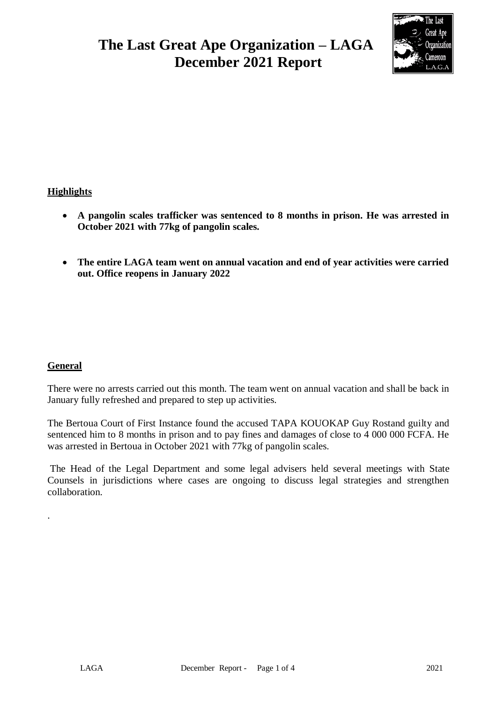# **The Last Great Ape Organization – LAGA December 2021 Report**



## **Highlights**

- **A pangolin scales trafficker was sentenced to 8 months in prison. He was arrested in October 2021 with 77kg of pangolin scales.**
- **The entire LAGA team went on annual vacation and end of year activities were carried out. Office reopens in January 2022**

## **General**

.

There were no arrests carried out this month. The team went on annual vacation and shall be back in January fully refreshed and prepared to step up activities.

The Bertoua Court of First Instance found the accused TAPA KOUOKAP Guy Rostand guilty and sentenced him to 8 months in prison and to pay fines and damages of close to 4 000 000 FCFA. He was arrested in Bertoua in October 2021 with 77kg of pangolin scales.

The Head of the Legal Department and some legal advisers held several meetings with State Counsels in jurisdictions where cases are ongoing to discuss legal strategies and strengthen collaboration.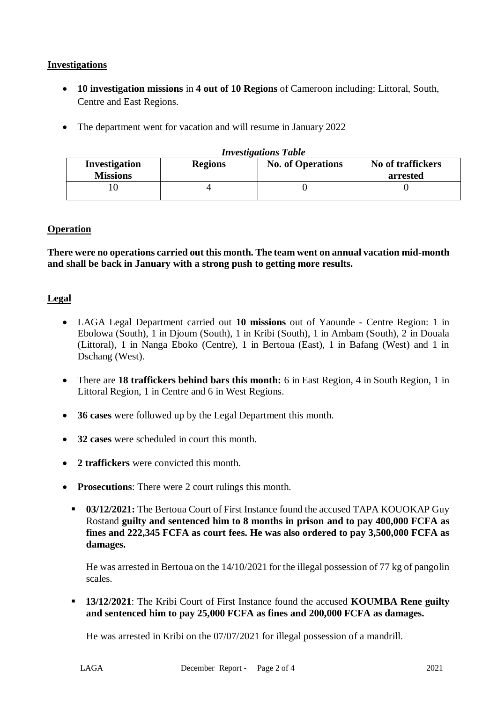## **Investigations**

- **10 investigation missions** in **4 out of 10 Regions** of Cameroon including: Littoral, South, Centre and East Regions.
- The department went for vacation and will resume in January 2022

| <b>Investigations Table</b>                               |  |                          |                               |  |  |  |
|-----------------------------------------------------------|--|--------------------------|-------------------------------|--|--|--|
| <b>Investigation</b><br><b>Regions</b><br><b>Missions</b> |  | <b>No. of Operations</b> | No of traffickers<br>arrested |  |  |  |
|                                                           |  |                          |                               |  |  |  |

## **Operation**

**There were no operations carried out this month. The team went on annual vacation mid-month and shall be back in January with a strong push to getting more results.** 

### **Legal**

- LAGA Legal Department carried out **10 missions** out of Yaounde Centre Region: 1 in Ebolowa (South), 1 in Djoum (South), 1 in Kribi (South), 1 in Ambam (South), 2 in Douala (Littoral), 1 in Nanga Eboko (Centre), 1 in Bertoua (East), 1 in Bafang (West) and 1 in Dschang (West).
- There are **18 traffickers behind bars this month:** 6 in East Region, 4 in South Region, 1 in Littoral Region, 1 in Centre and 6 in West Regions.
- **36 cases** were followed up by the Legal Department this month.
- **32 cases** were scheduled in court this month.
- **2 traffickers** were convicted this month.
- **Prosecutions**: There were 2 court rulings this month.
	- **03/12/2021:** The Bertoua Court of First Instance found the accused TAPA KOUOKAP Guy Rostand **guilty and sentenced him to 8 months in prison and to pay 400,000 FCFA as fines and 222,345 FCFA as court fees. He was also ordered to pay 3,500,000 FCFA as damages.**

He was arrested in Bertoua on the 14/10/2021 for the illegal possession of 77 kg of pangolin scales.

 **13/12/2021**: The Kribi Court of First Instance found the accused **KOUMBA Rene guilty and sentenced him to pay 25,000 FCFA as fines and 200,000 FCFA as damages.**

He was arrested in Kribi on the 07/07/2021 for illegal possession of a mandrill.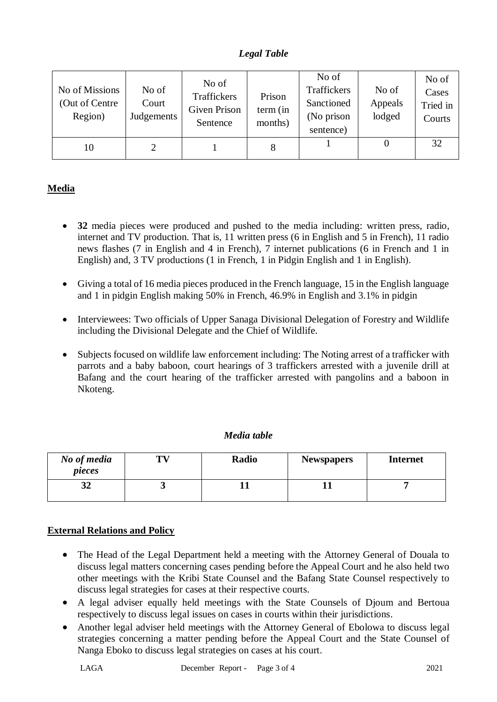## *Legal Table*

| No of Missions<br>(Out of Centre<br>Region) | No of<br>Court<br>Judgements | No of<br>Traffickers<br>Given Prison<br>Sentence | Prison<br>term (in<br>months) | No of<br><b>Traffickers</b><br>Sanctioned<br>(No prison<br>sentence) | No of<br>Appeals<br>lodged | No of<br>Cases<br>Tried in<br>Courts |
|---------------------------------------------|------------------------------|--------------------------------------------------|-------------------------------|----------------------------------------------------------------------|----------------------------|--------------------------------------|
| 10                                          |                              |                                                  | 8                             |                                                                      |                            | 32                                   |

# **Media**

- **32** media pieces were produced and pushed to the media including: written press, radio, internet and TV production. That is, 11 written press (6 in English and 5 in French), 11 radio news flashes (7 in English and 4 in French), 7 internet publications (6 in French and 1 in English) and, 3 TV productions (1 in French, 1 in Pidgin English and 1 in English).
- Giving a total of 16 media pieces produced in the French language, 15 in the English language and 1 in pidgin English making 50% in French, 46.9% in English and 3.1% in pidgin
- Interviewees: Two officials of Upper Sanaga Divisional Delegation of Forestry and Wildlife including the Divisional Delegate and the Chief of Wildlife.
- Subjects focused on wildlife law enforcement including: The Noting arrest of a trafficker with parrots and a baby baboon, court hearings of 3 traffickers arrested with a juvenile drill at Bafang and the court hearing of the trafficker arrested with pangolins and a baboon in Nkoteng.

| Media table |  |
|-------------|--|
|-------------|--|

| No of media<br>pieces | TV | Radio | <b>Newspapers</b> | <b>Internet</b> |
|-----------------------|----|-------|-------------------|-----------------|
| 34                    |    |       |                   |                 |

## **External Relations and Policy**

- The Head of the Legal Department held a meeting with the Attorney General of Douala to discuss legal matters concerning cases pending before the Appeal Court and he also held two other meetings with the Kribi State Counsel and the Bafang State Counsel respectively to discuss legal strategies for cases at their respective courts.
- A legal adviser equally held meetings with the State Counsels of Djoum and Bertoua respectively to discuss legal issues on cases in courts within their jurisdictions.
- Another legal adviser held meetings with the Attorney General of Ebolowa to discuss legal strategies concerning a matter pending before the Appeal Court and the State Counsel of Nanga Eboko to discuss legal strategies on cases at his court.